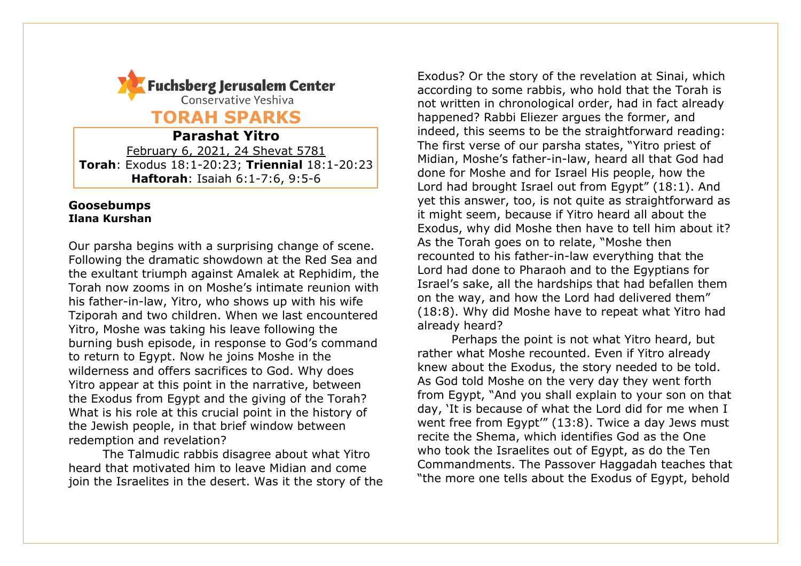

**TORAH SPARKS**

**Parashat Yitro** February 6, 2021, 24 Shevat 5781 **Torah**: Exodus 18:1-20:23; **Triennial** 18:1-20:23 **Haftorah**: Isaiah 6:1-7:6, 9:5-6

#### **Goosebumps Ilana Kurshan**

Our parsha begins with a surprising change of scene. Following the dramatic showdown at the Red Sea and the exultant triumph against Amalek at Rephidim, the Torah now zooms in on Moshe's intimate reunion with his father-in-law, Yitro, who shows up with his wife Tziporah and two children. When we last encountered Yitro, Moshe was taking his leave following the burning bush episode, in response to God's command to return to Egypt. Now he joins Moshe in the wilderness and offers sacrifices to God. Why does Yitro appear at this point in the narrative, between the Exodus from Egypt and the giving of the Torah? What is his role at this crucial point in the history of the Jewish people, in that brief window between redemption and revelation?

The Talmudic rabbis disagree about what Yitro heard that motivated him to leave Midian and come join the Israelites in the desert. Was it the story of the

Exodus? Or the story of the revelation at Sinai, which according to some rabbis, who hold that the Torah is not written in chronological order, had in fact already happened? Rabbi Eliezer argues the former, and indeed, this seems to be the straightforward reading: The first verse of our parsha states, "Yitro priest of Midian, Moshe's father-in-law, heard all that God had done for Moshe and for Israel His people, how the Lord had brought Israel out from Egypt" (18:1). And yet this answer, too, is not quite as straightforward as it might seem, because if Yitro heard all about the Exodus, why did Moshe then have to tell him about it? As the Torah goes on to relate, "Moshe then recounted to his father-in-law everything that the Lord had done to Pharaoh and to the Egyptians for Israel's sake, all the hardships that had befallen them on the way, and how the Lord had delivered them" (18:8). Why did Moshe have to repeat what Yitro had already heard?

Perhaps the point is not what Yitro heard, but rather what Moshe recounted. Even if Yitro already knew about the Exodus, the story needed to be told. As God told Moshe on the very day they went forth from Egypt, "And you shall explain to your son on that day, 'It is because of what the Lord did for me when I went free from Egypt'" (13:8). Twice a day Jews must recite the Shema, which identifies God as the One who took the Israelites out of Egypt, as do the Ten Commandments. The Passover Haggadah teaches that "the more one tells about the Exodus of Egypt, behold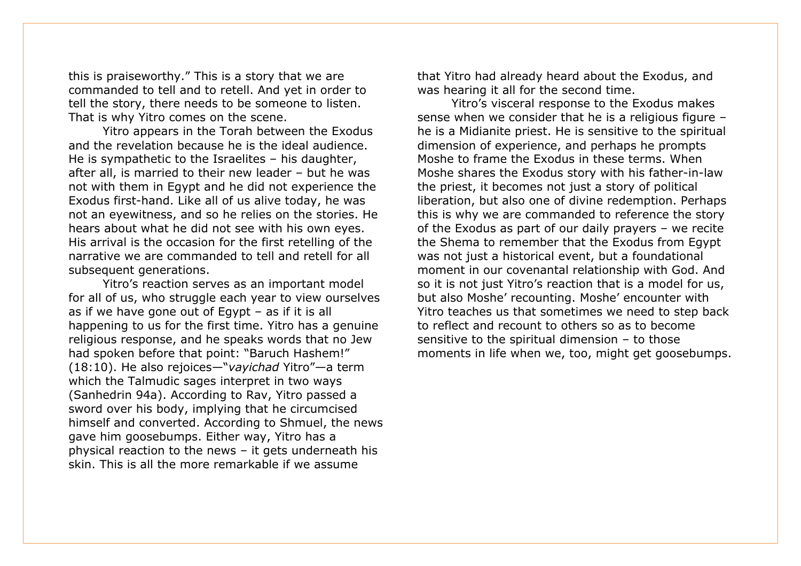this is praiseworthy." This is a story that we are commanded to tell and to retell. And yet in order to tell the story, there needs to be someone to listen. That is why Yitro comes on the scene.

Yitro appears in the Torah between the Exodus and the revelation because he is the ideal audience. He is sympathetic to the Israelites – his daughter, after all, is married to their new leader – but he was not with them in Egypt and he did not experience the Exodus first-hand. Like all of us alive today, he was not an eyewitness, and so he relies on the stories. He hears about what he did not see with his own eyes. His arrival is the occasion for the first retelling of the narrative we are commanded to tell and retell for all subsequent generations.

Yitro's reaction serves as an important model for all of us, who struggle each year to view ourselves as if we have gone out of Egypt – as if it is all happening to us for the first time. Yitro has a genuine religious response, and he speaks words that no Jew had spoken before that point: "Baruch Hashem!" (18:10). He also rejoices—"*vayichad* Yitro"—a term which the Talmudic sages interpret in two ways (Sanhedrin 94a). According to Rav, Yitro passed a sword over his body, implying that he circumcised himself and converted. According to Shmuel, the news gave him goosebumps. Either way, Yitro has a physical reaction to the news – it gets underneath his skin. This is all the more remarkable if we assume

that Yitro had already heard about the Exodus, and was hearing it all for the second time.

Yitro's visceral response to the Exodus makes sense when we consider that he is a religious figure – he is a Midianite priest. He is sensitive to the spiritual dimension of experience, and perhaps he prompts Moshe to frame the Exodus in these terms. When Moshe shares the Exodus story with his father-in-law the priest, it becomes not just a story of political liberation, but also one of divine redemption. Perhaps this is why we are commanded to reference the story of the Exodus as part of our daily prayers – we recite the Shema to remember that the Exodus from Egypt was not just a historical event, but a foundational moment in our covenantal relationship with God. And so it is not just Yitro's reaction that is a model for us, but also Moshe' recounting. Moshe' encounter with Yitro teaches us that sometimes we need to step back to reflect and recount to others so as to become sensitive to the spiritual dimension – to those moments in life when we, too, might get goosebumps.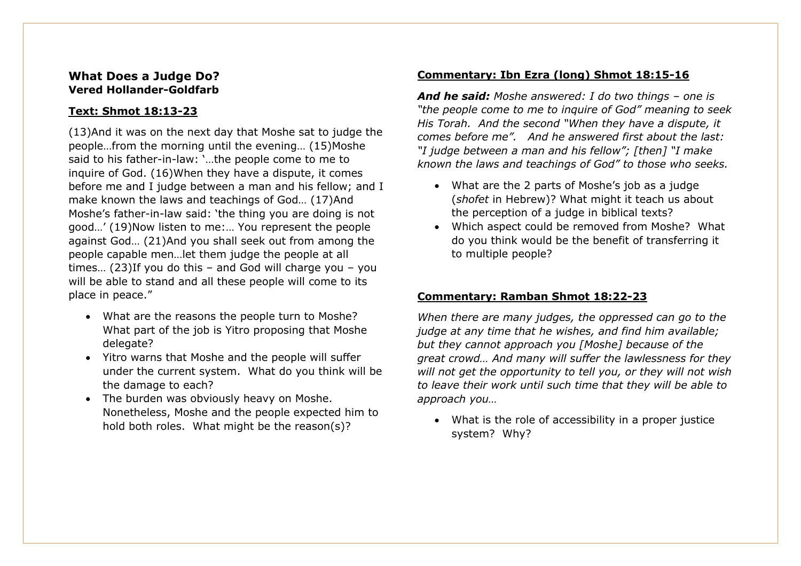# **What Does a Judge Do? Vered Hollander-Goldfarb**

## **Text: Shmot 18:13-23**

(13)And it was on the next day that Moshe sat to judge the people…from the morning until the evening… (15)Moshe said to his father-in-law: '…the people come to me to inquire of God. (16)When they have a dispute, it comes before me and I judge between a man and his fellow; and I make known the laws and teachings of God… (17)And Moshe's father-in-law said: 'the thing you are doing is not good…' (19)Now listen to me:… You represent the people against God… (21)And you shall seek out from among the people capable men…let them judge the people at all times… (23)If you do this – and God will charge you – you will be able to stand and all these people will come to its place in peace."

- What are the reasons the people turn to Moshe? What part of the job is Yitro proposing that Moshe delegate?
- Yitro warns that Moshe and the people will suffer under the current system. What do you think will be the damage to each?
- The burden was obviously heavy on Moshe. Nonetheless, Moshe and the people expected him to hold both roles. What might be the reason(s)?

## **Commentary: Ibn Ezra (long) Shmot 18:15-16**

*And he said: Moshe answered: I do two things – one is "the people come to me to inquire of God" meaning to seek His Torah. And the second "When they have a dispute, it comes before me". And he answered first about the last: "I judge between a man and his fellow"; [then] "I make known the laws and teachings of God" to those who seeks.*

- What are the 2 parts of Moshe's job as a judge (*shofet* in Hebrew)? What might it teach us about the perception of a judge in biblical texts?
- Which aspect could be removed from Moshe? What do you think would be the benefit of transferring it to multiple people?

# **Commentary: Ramban Shmot 18:22-23**

*When there are many judges, the oppressed can go to the judge at any time that he wishes, and find him available; but they cannot approach you [Moshe] because of the great crowd… And many will suffer the lawlessness for they will not get the opportunity to tell you, or they will not wish to leave their work until such time that they will be able to approach you…*

• What is the role of accessibility in a proper justice system? Why?